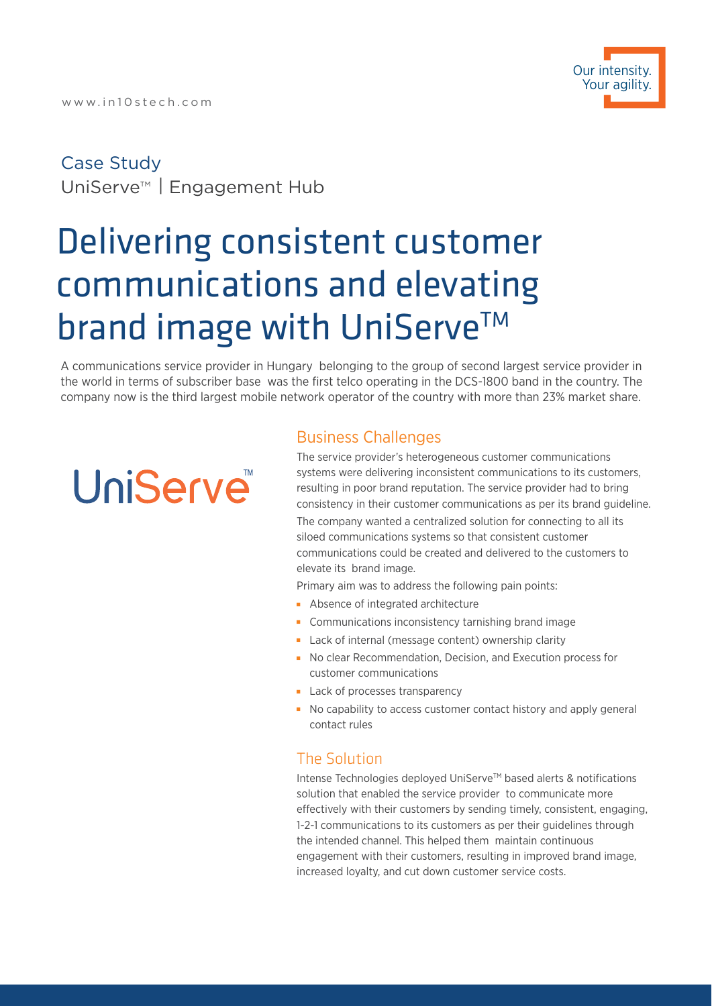# Case Study UniServe<sup>™</sup> | Engagement Hub

# Delivering consistent customer communications and elevating brand image with UniServe™

A communications service provider in Hungary belonging to the group of second largest service provider in the world in terms of subscriber base was the first telco operating in the DCS-1800 band in the country. The company now is the third largest mobile network operator of the country with more than 23% market share.

# **UniServe**

## Business Challenges

The service provider's heterogeneous customer communications systems were delivering inconsistent communications to its customers, resulting in poor brand reputation. The service provider had to bring consistency in their customer communications as per its brand guideline. The company wanted a centralized solution for connecting to all its

siloed communications systems so that consistent customer communications could be created and delivered to the customers to elevate its brand image.

Primary aim was to address the following pain points:

- Absence of integrated architecture
- **Communications inconsistency tarnishing brand image**
- Lack of internal (message content) ownership clarity
- No clear Recommendation, Decision, and Execution process for customer communications
- **Lack of processes transparency**
- No capability to access customer contact history and apply general contact rules

### The Solution

Intense Technologies deployed UniServe™ based alerts & notifications solution that enabled the service provider to communicate more effectively with their customers by sending timely, consistent, engaging, 1-2-1 communications to its customers as per their guidelines through the intended channel. This helped them maintain continuous engagement with their customers, resulting in improved brand image, increased loyalty, and cut down customer service costs.